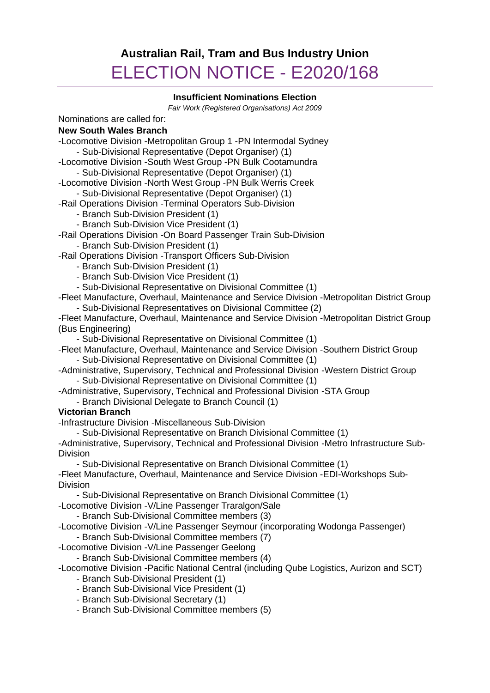# **Australian Rail, Tram and Bus Industry Union** ELECTION NOTICE - E2020/168

## **Insufficient Nominations Election**

*Fair Work (Registered Organisations) Act 2009*

Nominations are called for:

## **New South Wales Branch**

-Locomotive Division -Metropolitan Group 1 -PN Intermodal Sydney - Sub-Divisional Representative (Depot Organiser) (1)

-Locomotive Division -South West Group -PN Bulk Cootamundra - Sub-Divisional Representative (Depot Organiser) (1)

-Locomotive Division -North West Group -PN Bulk Werris Creek

- Sub-Divisional Representative (Depot Organiser) (1)

-Rail Operations Division -Terminal Operators Sub-Division

- Branch Sub-Division President (1)

- Branch Sub-Division Vice President (1)

-Rail Operations Division -On Board Passenger Train Sub-Division - Branch Sub-Division President (1)

-Rail Operations Division -Transport Officers Sub-Division

- Branch Sub-Division President (1)

- Branch Sub-Division Vice President (1)

- Sub-Divisional Representative on Divisional Committee (1)

-Fleet Manufacture, Overhaul, Maintenance and Service Division -Metropolitan District Group

- Sub-Divisional Representatives on Divisional Committee (2)

-Fleet Manufacture, Overhaul, Maintenance and Service Division -Metropolitan District Group (Bus Engineering)

- Sub-Divisional Representative on Divisional Committee (1)

-Fleet Manufacture, Overhaul, Maintenance and Service Division -Southern District Group - Sub-Divisional Representative on Divisional Committee (1)

-Administrative, Supervisory, Technical and Professional Division -Western District Group - Sub-Divisional Representative on Divisional Committee (1)

-Administrative, Supervisory, Technical and Professional Division -STA Group

- Branch Divisional Delegate to Branch Council (1)

# **Victorian Branch**

-Infrastructure Division -Miscellaneous Sub-Division

- Sub-Divisional Representative on Branch Divisional Committee (1)

-Administrative, Supervisory, Technical and Professional Division -Metro Infrastructure Sub-Division

- Sub-Divisional Representative on Branch Divisional Committee (1)

-Fleet Manufacture, Overhaul, Maintenance and Service Division -EDI-Workshops Sub-Division

- Sub-Divisional Representative on Branch Divisional Committee (1)

-Locomotive Division -V/Line Passenger Traralgon/Sale

- Branch Sub-Divisional Committee members (3)

-Locomotive Division -V/Line Passenger Seymour (incorporating Wodonga Passenger) - Branch Sub-Divisional Committee members (7)

-Locomotive Division -V/Line Passenger Geelong

- Branch Sub-Divisional Committee members (4)

-Locomotive Division -Pacific National Central (including Qube Logistics, Aurizon and SCT)

- Branch Sub-Divisional President (1)

- Branch Sub-Divisional Vice President (1)

- Branch Sub-Divisional Secretary (1)

- Branch Sub-Divisional Committee members (5)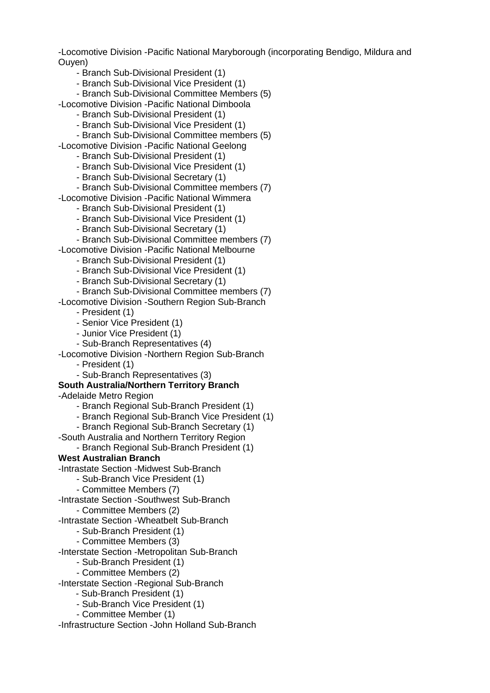-Locomotive Division -Pacific National Maryborough (incorporating Bendigo, Mildura and Ouyen)

- Branch Sub-Divisional President (1)

- Branch Sub-Divisional Vice President (1)

- Branch Sub-Divisional Committee Members (5)

-Locomotive Division -Pacific National Dimboola

- Branch Sub-Divisional President (1)

- Branch Sub-Divisional Vice President (1)

- Branch Sub-Divisional Committee members (5)

-Locomotive Division -Pacific National Geelong

- Branch Sub-Divisional President (1)

- Branch Sub-Divisional Vice President (1)

- Branch Sub-Divisional Secretary (1)

- Branch Sub-Divisional Committee members (7)

-Locomotive Division -Pacific National Wimmera

- Branch Sub-Divisional President (1)

- Branch Sub-Divisional Vice President (1)

- Branch Sub-Divisional Secretary (1)

- Branch Sub-Divisional Committee members (7)

-Locomotive Division -Pacific National Melbourne

- Branch Sub-Divisional President (1)

- Branch Sub-Divisional Vice President (1)

- Branch Sub-Divisional Secretary (1)

- Branch Sub-Divisional Committee members (7)

-Locomotive Division -Southern Region Sub-Branch

- President (1)

- Senior Vice President (1)

- Junior Vice President (1)

- Sub-Branch Representatives (4)

-Locomotive Division -Northern Region Sub-Branch

- President (1)

- Sub-Branch Representatives (3)

#### **South Australia/Northern Territory Branch**

-Adelaide Metro Region

- Branch Regional Sub-Branch President (1)

- Branch Regional Sub-Branch Vice President (1)

- Branch Regional Sub-Branch Secretary (1)

-South Australia and Northern Territory Region

- Branch Regional Sub-Branch President (1)

# **West Australian Branch**

-Intrastate Section -Midwest Sub-Branch

- Sub-Branch Vice President (1)

- Committee Members (7)

-Intrastate Section -Southwest Sub-Branch

- Committee Members (2)

-Intrastate Section -Wheatbelt Sub-Branch

- Sub-Branch President (1)

- Committee Members (3)

-Interstate Section -Metropolitan Sub-Branch

- Sub-Branch President (1)

- Committee Members (2)

-Interstate Section -Regional Sub-Branch

- Sub-Branch President (1)

- Sub-Branch Vice President (1)

- Committee Member (1)

-Infrastructure Section -John Holland Sub-Branch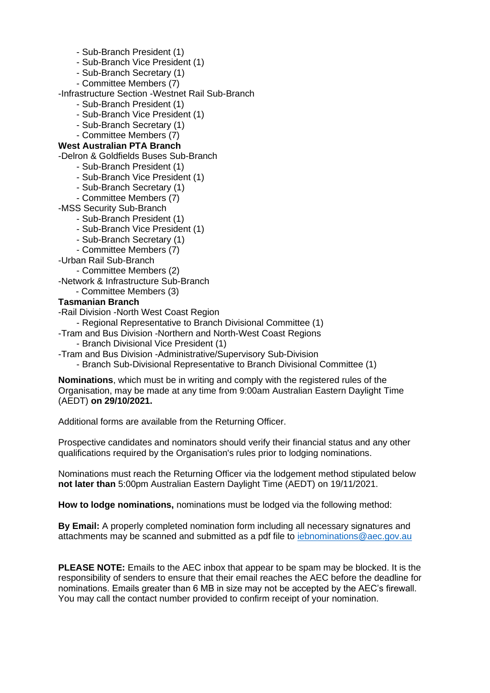- Sub-Branch President (1)
- Sub-Branch Vice President (1)
- Sub-Branch Secretary (1)
- Committee Members (7)

-Infrastructure Section -Westnet Rail Sub-Branch

- Sub-Branch President (1)
- Sub-Branch Vice President (1)
- Sub-Branch Secretary (1)
- Committee Members (7)

## **West Australian PTA Branch**

-Delron & Goldfields Buses Sub-Branch

- Sub-Branch President (1)

- Sub-Branch Vice President (1)
- Sub-Branch Secretary (1)
- Committee Members (7)

-MSS Security Sub-Branch

- Sub-Branch President (1)
- Sub-Branch Vice President (1)
- Sub-Branch Secretary (1)
- Committee Members (7)

-Urban Rail Sub-Branch

- Committee Members (2)

-Network & Infrastructure Sub-Branch

- Committee Members (3)

## **Tasmanian Branch**

-Rail Division -North West Coast Region

- Regional Representative to Branch Divisional Committee (1)

-Tram and Bus Division -Northern and North-West Coast Regions

- Branch Divisional Vice President (1)

- -Tram and Bus Division -Administrative/Supervisory Sub-Division
	- Branch Sub-Divisional Representative to Branch Divisional Committee (1)

**Nominations**, which must be in writing and comply with the registered rules of the Organisation, may be made at any time from 9:00am Australian Eastern Daylight Time (AEDT) **on 29/10/2021.**

Additional forms are available from the Returning Officer.

Prospective candidates and nominators should verify their financial status and any other qualifications required by the Organisation's rules prior to lodging nominations.

Nominations must reach the Returning Officer via the lodgement method stipulated below **not later than** 5:00pm Australian Eastern Daylight Time (AEDT) on 19/11/2021.

**How to lodge nominations,** nominations must be lodged via the following method:

**By Email:** A properly completed nomination form including all necessary signatures and attachments may be scanned and submitted as a pdf file to [iebnominations@aec.gov.au](mailto:iebnominations@aec.gov.au)

**PLEASE NOTE:** Emails to the AEC inbox that appear to be spam may be blocked. It is the responsibility of senders to ensure that their email reaches the AEC before the deadline for nominations. Emails greater than 6 MB in size may not be accepted by the AEC's firewall. You may call the contact number provided to confirm receipt of your nomination.